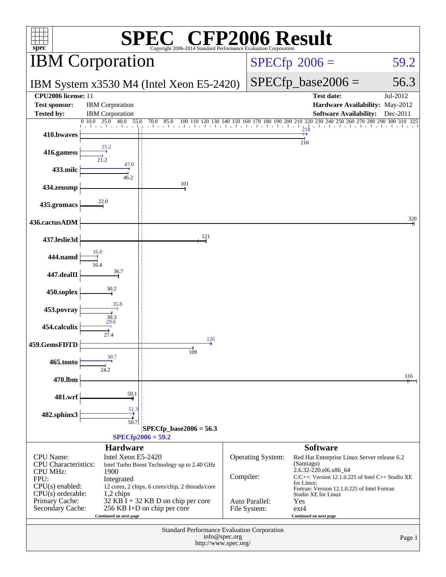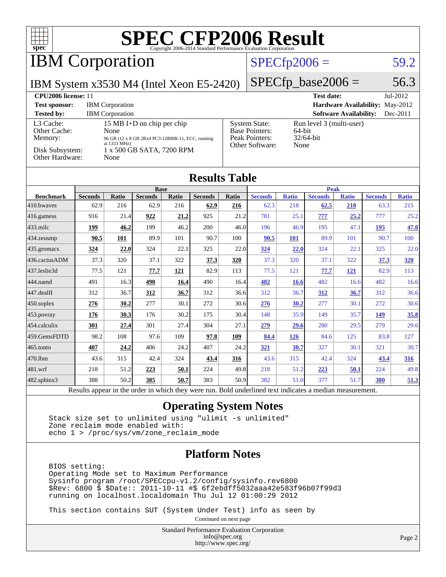

## IBM Corporation

### $SPECfp2006 = 59.2$  $SPECfp2006 = 59.2$

IBM System x3530 M4 (Intel Xeon E5-2420)

 $SPECfp\_base2006 = 56.3$ 

| CPU <sub>2006</sub> license: 11                                            |                                                                                                                                                         |                                                                                    | <b>Test date:</b><br>$Jul-2012$                            |
|----------------------------------------------------------------------------|---------------------------------------------------------------------------------------------------------------------------------------------------------|------------------------------------------------------------------------------------|------------------------------------------------------------|
| <b>Test sponsor:</b>                                                       | <b>IBM</b> Corporation                                                                                                                                  |                                                                                    | <b>Hardware Availability: May-2012</b>                     |
| <b>Tested by:</b>                                                          | <b>IBM</b> Corporation                                                                                                                                  |                                                                                    | <b>Software Availability:</b><br>$Dec-2011$                |
| L3 Cache:<br>Other Cache:<br>Memory:<br>Disk Subsystem:<br>Other Hardware: | 15 MB I+D on chip per chip<br>None<br>96 GB (12 x 8 GB 2Rx4 PC3-12800R-11, ECC, running<br>at $1333 \text{ MHz}$ )<br>1 x 500 GB SATA, 7200 RPM<br>None | <b>System State:</b><br><b>Base Pointers:</b><br>Peak Pointers:<br>Other Software: | Run level 3 (multi-user)<br>64-bit<br>$32/64$ -bit<br>None |

#### **[Results Table](http://www.spec.org/auto/cpu2006/Docs/result-fields.html#ResultsTable)**

|                  | <b>Peak</b><br><b>Base</b> |       |                |         |                |           |                        |                                  |                |              |                |              |
|------------------|----------------------------|-------|----------------|---------|----------------|-----------|------------------------|----------------------------------|----------------|--------------|----------------|--------------|
| <b>Benchmark</b> | <b>Seconds</b>             | Ratio | <b>Seconds</b> | Ratio   | <b>Seconds</b> | Ratio     | <b>Seconds</b>         | <b>Ratio</b>                     | <b>Seconds</b> | <b>Ratio</b> | <b>Seconds</b> | <b>Ratio</b> |
| 410.bwayes       | 62.9                       | 216   | 62.9           | 216     | 62.9           | 216       | 62.3                   | 218                              | 62.5           | 218          | 63.3           | 215          |
| 416.gamess       | 916                        | 21.4  | 922            | 21.2    | 925            | 21.2      | 781                    | 25.1                             | 777            | 25.2         | 777            | 25.2         |
| $433$ .milc      | <u>199</u>                 | 46.2  | 199            | 46.2    | 200            | 46.0      | 196                    | 46.9                             | 195            | 47.1         | <b>195</b>     | 47.0         |
| $ 434$ . zeusmp  | 90.5                       | 101   | 89.9           | 101     | 90.7           | 100       | 90.5                   | 101                              | 89.9           | 101          | 90.7           | 100          |
| $435$ .gromacs   | 324                        | 22.0  | 324            | 22.1    | 325            | 22.0      | 324                    | 22.0                             | 324            | 22.1         | 325            | 22.0         |
| 436.cactusADM    | 37.3                       | 320   | 37.1           | 322     | 37.3           | 320       | 37.3                   | 320                              | 37.1           | 322          | 37.3           | <b>320</b>   |
| 437.leslie3d     | 77.5                       | 121   | 77.7           | 121     | 82.9           | 113       | 77.5                   | 121                              | 77.7           | <u>121</u>   | 82.9           | 113          |
| 444.namd         | 491                        | 16.3  | 490            | 16.4    | 490            | 16.4      | 482                    | <b>16.6</b>                      | 482            | 16.6         | 482            | 16.6         |
| 447.dealII       | 312                        | 36.7  | 312            | 36.7    | 312            | 36.6      | 312                    | 36.7                             | <u>312</u>     | 36.7         | 312            | 36.6         |
| $ 450$ .soplex   | 276                        | 30.2  | 277            | 30.1    | 272            | 30.6      | 276                    | 30.2                             | 277            | 30.1         | 272            | 30.6         |
| 453.povray       | 176                        | 30.3  | 176            | 30.2    | 175            | 30.4      | 148                    | 35.9                             | 149            | 35.7         | <u>149</u>     | 35.8         |
| $454$ .calculix  | 301                        | 27.4  | 301            | 27.4    | 304            | 27.1      | 279                    | 29.6                             | 280            | 29.5         | 279            | 29.6         |
| 459.GemsFDTD     | 98.2                       | 108   | 97.6           | 109     | 97.8           | 109       | 84.4                   | 126                              | 84.6           | 125          | 83.8           | 127          |
| $465$ .tonto     | 407                        | 24.2  | 406            | 24.2    | 407            | 24.2      | 321                    | 30.7                             | 327            | 30.1         | 321            | 30.7         |
| 470.1bm          | 43.6                       | 315   | 42.4           | 324     | 43.4           | 316       | 43.6                   | 315                              | 42.4           | 324          | 43.4           | <b>316</b>   |
| 481.wrf          | 218                        | 51.2  | 223            | 50.1    | 224            | 49.8      | 218                    | 51.2                             | 223            | <b>50.1</b>  | 224            | 49.8         |
| 482.sphinx3      | 388                        | 50.2  | 385            | 50.7    | 383            | 50.9      | 382                    | 51.0                             | 377            | 51.7         | <b>380</b>     | 51.3         |
| $\mathbf{r}$     |                            |       | $\mathbf{1}$   | 1.1.1.1 |                | $T = 1.1$ | 1.11<br>$\blacksquare$ | <b>Contract Contract Service</b> | $\cdot$        |              |                |              |

Results appear in the [order in which they were run.](http://www.spec.org/auto/cpu2006/Docs/result-fields.html#RunOrder) Bold underlined text [indicates a median measurement.](http://www.spec.org/auto/cpu2006/Docs/result-fields.html#Median)

#### **[Operating System Notes](http://www.spec.org/auto/cpu2006/Docs/result-fields.html#OperatingSystemNotes)**

 Stack size set to unlimited using "ulimit -s unlimited" Zone reclaim mode enabled with: echo 1 > /proc/sys/vm/zone\_reclaim\_mode

#### **[Platform Notes](http://www.spec.org/auto/cpu2006/Docs/result-fields.html#PlatformNotes)**

 BIOS setting: Operating Mode set to Maximum Performance Sysinfo program /root/SPECcpu-v1.2/config/sysinfo.rev6800 \$Rev: 6800 \$ \$Date:: 2011-10-11 #\$ 6f2ebdff5032aaa42e583f96b07f99d3 running on localhost.localdomain Thu Jul 12 01:00:29 2012

This section contains SUT (System Under Test) info as seen by

Continued on next page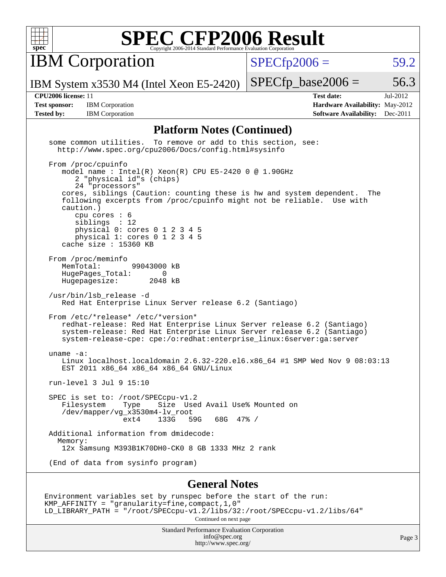

IBM Corporation

 $SPECfp2006 = 59.2$  $SPECfp2006 = 59.2$ 

IBM System x3530 M4 (Intel Xeon E5-2420)

**[Tested by:](http://www.spec.org/auto/cpu2006/Docs/result-fields.html#Testedby)** IBM Corporation **[Software Availability:](http://www.spec.org/auto/cpu2006/Docs/result-fields.html#SoftwareAvailability)** Dec-2011

**[CPU2006 license:](http://www.spec.org/auto/cpu2006/Docs/result-fields.html#CPU2006license)** 11 **[Test date:](http://www.spec.org/auto/cpu2006/Docs/result-fields.html#Testdate)** Jul-2012 **[Test sponsor:](http://www.spec.org/auto/cpu2006/Docs/result-fields.html#Testsponsor)** IBM Corporation **[Hardware Availability:](http://www.spec.org/auto/cpu2006/Docs/result-fields.html#HardwareAvailability)** May-2012

 $SPECTp\_base2006 = 56.3$ 

#### **[Platform Notes \(Continued\)](http://www.spec.org/auto/cpu2006/Docs/result-fields.html#PlatformNotes)**

 some common utilities. To remove or add to this section, see: <http://www.spec.org/cpu2006/Docs/config.html#sysinfo> From /proc/cpuinfo model name : Intel(R) Xeon(R) CPU E5-2420 0 @ 1.90GHz 2 "physical id"s (chips) 24 "processors" cores, siblings (Caution: counting these is hw and system dependent. The following excerpts from /proc/cpuinfo might not be reliable. Use with caution.) cpu cores : 6 siblings : 12 physical 0: cores 0 1 2 3 4 5 physical 1: cores 0 1 2 3 4 5 cache size : 15360 KB From /proc/meminfo MemTotal: 99043000 kB HugePages\_Total: 0<br>Hugepagesize: 2048 kB Hugepagesize: /usr/bin/lsb\_release -d Red Hat Enterprise Linux Server release 6.2 (Santiago) From /etc/\*release\* /etc/\*version\* redhat-release: Red Hat Enterprise Linux Server release 6.2 (Santiago) system-release: Red Hat Enterprise Linux Server release 6.2 (Santiago) system-release-cpe: cpe:/o:redhat:enterprise\_linux:6server:ga:server uname -a: Linux localhost.localdomain 2.6.32-220.el6.x86\_64 #1 SMP Wed Nov 9 08:03:13 EST 2011 x86\_64 x86\_64 x86\_64 GNU/Linux run-level 3 Jul 9 15:10 SPEC is set to: /root/SPECcpu-v1.2 Filesystem Type Size Used Avail Use% Mounted on /dev/mapper/vg\_x3530m4-lv\_root 68G 47% / Additional information from dmidecode: Memory: 12x Samsung M393B1K70DH0-CK0 8 GB 1333 MHz 2 rank (End of data from sysinfo program) **[General Notes](http://www.spec.org/auto/cpu2006/Docs/result-fields.html#GeneralNotes)** Environment variables set by runspec before the start of the run: KMP\_AFFINITY = "granularity=fine,compact,1,0" LD\_LIBRARY\_PATH = "/root/SPECcpu-v1.2/libs/32:/root/SPECcpu-v1.2/libs/64" Continued on next page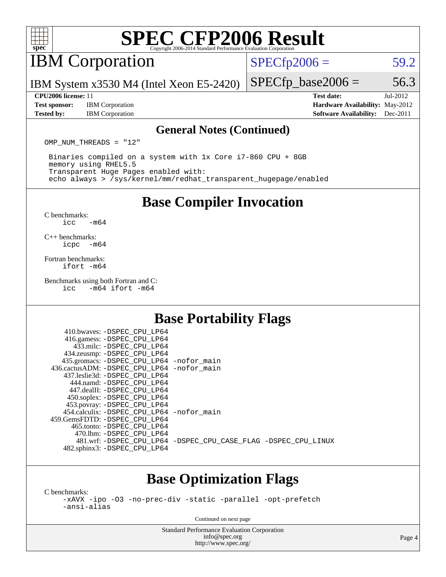

### IBM Corporation

 $SPECTp2006 = 59.2$ 

IBM System x3530 M4 (Intel Xeon E5-2420)

#### **[CPU2006 license:](http://www.spec.org/auto/cpu2006/Docs/result-fields.html#CPU2006license)** 11 **[Test date:](http://www.spec.org/auto/cpu2006/Docs/result-fields.html#Testdate)** Jul-2012

**[Test sponsor:](http://www.spec.org/auto/cpu2006/Docs/result-fields.html#Testsponsor)** IBM Corporation **[Hardware Availability:](http://www.spec.org/auto/cpu2006/Docs/result-fields.html#HardwareAvailability)** May-2012

 $SPECTp\_base2006 = 56.3$ 

**[Tested by:](http://www.spec.org/auto/cpu2006/Docs/result-fields.html#Testedby)** IBM Corporation **[Software Availability:](http://www.spec.org/auto/cpu2006/Docs/result-fields.html#SoftwareAvailability)** Dec-2011

#### **[General Notes \(Continued\)](http://www.spec.org/auto/cpu2006/Docs/result-fields.html#GeneralNotes)**

OMP NUM THREADS = "12"

 Binaries compiled on a system with 1x Core i7-860 CPU + 8GB memory using RHEL5.5 Transparent Huge Pages enabled with: echo always > /sys/kernel/mm/redhat\_transparent\_hugepage/enabled

**[Base Compiler Invocation](http://www.spec.org/auto/cpu2006/Docs/result-fields.html#BaseCompilerInvocation)**

[C benchmarks](http://www.spec.org/auto/cpu2006/Docs/result-fields.html#Cbenchmarks):  $\text{icc}$   $-\text{m64}$ 

[C++ benchmarks:](http://www.spec.org/auto/cpu2006/Docs/result-fields.html#CXXbenchmarks) [icpc -m64](http://www.spec.org/cpu2006/results/res2012q3/cpu2006-20120725-23845.flags.html#user_CXXbase_intel_icpc_64bit_bedb90c1146cab66620883ef4f41a67e)

[Fortran benchmarks](http://www.spec.org/auto/cpu2006/Docs/result-fields.html#Fortranbenchmarks): [ifort -m64](http://www.spec.org/cpu2006/results/res2012q3/cpu2006-20120725-23845.flags.html#user_FCbase_intel_ifort_64bit_ee9d0fb25645d0210d97eb0527dcc06e)

[Benchmarks using both Fortran and C](http://www.spec.org/auto/cpu2006/Docs/result-fields.html#BenchmarksusingbothFortranandC):<br>icc -m64 ifort -m64  $-m64$  ifort  $-m64$ 

### **[Base Portability Flags](http://www.spec.org/auto/cpu2006/Docs/result-fields.html#BasePortabilityFlags)**

| 410.bwaves: -DSPEC CPU LP64                  |                                                                |
|----------------------------------------------|----------------------------------------------------------------|
| 416.gamess: -DSPEC_CPU_LP64                  |                                                                |
| 433.milc: -DSPEC CPU LP64                    |                                                                |
| 434.zeusmp: - DSPEC_CPU_LP64                 |                                                                |
| 435.gromacs: -DSPEC_CPU_LP64 -nofor_main     |                                                                |
| 436.cactusADM: - DSPEC CPU LP64 - nofor main |                                                                |
| 437.leslie3d: -DSPEC CPU LP64                |                                                                |
| 444.namd: - DSPEC CPU LP64                   |                                                                |
| 447.dealII: -DSPEC CPU LP64                  |                                                                |
| 450.soplex: -DSPEC_CPU_LP64                  |                                                                |
| 453.povray: -DSPEC_CPU_LP64                  |                                                                |
| 454.calculix: - DSPEC CPU LP64 - nofor main  |                                                                |
| 459.GemsFDTD: -DSPEC CPU LP64                |                                                                |
| 465.tonto: - DSPEC CPU LP64                  |                                                                |
| 470.1bm: - DSPEC CPU LP64                    |                                                                |
|                                              | 481.wrf: -DSPEC_CPU_LP64 -DSPEC_CPU_CASE_FLAG -DSPEC_CPU_LINUX |
| 482.sphinx3: -DSPEC_CPU_LP64                 |                                                                |
|                                              |                                                                |

#### **[Base Optimization Flags](http://www.spec.org/auto/cpu2006/Docs/result-fields.html#BaseOptimizationFlags)**

[C benchmarks](http://www.spec.org/auto/cpu2006/Docs/result-fields.html#Cbenchmarks):

[-xAVX](http://www.spec.org/cpu2006/results/res2012q3/cpu2006-20120725-23845.flags.html#user_CCbase_f-xAVX) [-ipo](http://www.spec.org/cpu2006/results/res2012q3/cpu2006-20120725-23845.flags.html#user_CCbase_f-ipo) [-O3](http://www.spec.org/cpu2006/results/res2012q3/cpu2006-20120725-23845.flags.html#user_CCbase_f-O3) [-no-prec-div](http://www.spec.org/cpu2006/results/res2012q3/cpu2006-20120725-23845.flags.html#user_CCbase_f-no-prec-div) [-static](http://www.spec.org/cpu2006/results/res2012q3/cpu2006-20120725-23845.flags.html#user_CCbase_f-static) [-parallel](http://www.spec.org/cpu2006/results/res2012q3/cpu2006-20120725-23845.flags.html#user_CCbase_f-parallel) [-opt-prefetch](http://www.spec.org/cpu2006/results/res2012q3/cpu2006-20120725-23845.flags.html#user_CCbase_f-opt-prefetch) [-ansi-alias](http://www.spec.org/cpu2006/results/res2012q3/cpu2006-20120725-23845.flags.html#user_CCbase_f-ansi-alias)

Continued on next page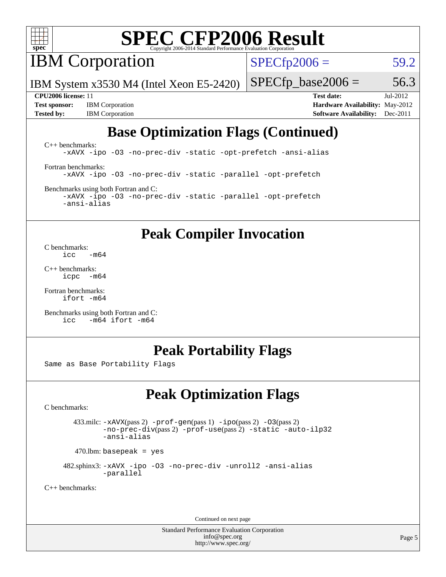

**IBM** Corporation

 $SPECTp2006 = 59.2$ 

IBM System x3530 M4 (Intel Xeon E5-2420)

**[Test sponsor:](http://www.spec.org/auto/cpu2006/Docs/result-fields.html#Testsponsor)** IBM Corporation **[Hardware Availability:](http://www.spec.org/auto/cpu2006/Docs/result-fields.html#HardwareAvailability)** May-2012 **[Tested by:](http://www.spec.org/auto/cpu2006/Docs/result-fields.html#Testedby)** IBM Corporation **[Software Availability:](http://www.spec.org/auto/cpu2006/Docs/result-fields.html#SoftwareAvailability)** Dec-2011

 $SPECTp\_base2006 = 56.3$ **[CPU2006 license:](http://www.spec.org/auto/cpu2006/Docs/result-fields.html#CPU2006license)** 11 **[Test date:](http://www.spec.org/auto/cpu2006/Docs/result-fields.html#Testdate)** Jul-2012

### **[Base Optimization Flags \(Continued\)](http://www.spec.org/auto/cpu2006/Docs/result-fields.html#BaseOptimizationFlags)**

[C++ benchmarks:](http://www.spec.org/auto/cpu2006/Docs/result-fields.html#CXXbenchmarks) [-xAVX](http://www.spec.org/cpu2006/results/res2012q3/cpu2006-20120725-23845.flags.html#user_CXXbase_f-xAVX) [-ipo](http://www.spec.org/cpu2006/results/res2012q3/cpu2006-20120725-23845.flags.html#user_CXXbase_f-ipo) [-O3](http://www.spec.org/cpu2006/results/res2012q3/cpu2006-20120725-23845.flags.html#user_CXXbase_f-O3) [-no-prec-div](http://www.spec.org/cpu2006/results/res2012q3/cpu2006-20120725-23845.flags.html#user_CXXbase_f-no-prec-div) [-static](http://www.spec.org/cpu2006/results/res2012q3/cpu2006-20120725-23845.flags.html#user_CXXbase_f-static) [-opt-prefetch](http://www.spec.org/cpu2006/results/res2012q3/cpu2006-20120725-23845.flags.html#user_CXXbase_f-opt-prefetch) [-ansi-alias](http://www.spec.org/cpu2006/results/res2012q3/cpu2006-20120725-23845.flags.html#user_CXXbase_f-ansi-alias) [Fortran benchmarks](http://www.spec.org/auto/cpu2006/Docs/result-fields.html#Fortranbenchmarks): [-xAVX](http://www.spec.org/cpu2006/results/res2012q3/cpu2006-20120725-23845.flags.html#user_FCbase_f-xAVX) [-ipo](http://www.spec.org/cpu2006/results/res2012q3/cpu2006-20120725-23845.flags.html#user_FCbase_f-ipo) [-O3](http://www.spec.org/cpu2006/results/res2012q3/cpu2006-20120725-23845.flags.html#user_FCbase_f-O3) [-no-prec-div](http://www.spec.org/cpu2006/results/res2012q3/cpu2006-20120725-23845.flags.html#user_FCbase_f-no-prec-div) [-static](http://www.spec.org/cpu2006/results/res2012q3/cpu2006-20120725-23845.flags.html#user_FCbase_f-static) [-parallel](http://www.spec.org/cpu2006/results/res2012q3/cpu2006-20120725-23845.flags.html#user_FCbase_f-parallel) [-opt-prefetch](http://www.spec.org/cpu2006/results/res2012q3/cpu2006-20120725-23845.flags.html#user_FCbase_f-opt-prefetch)

[Benchmarks using both Fortran and C](http://www.spec.org/auto/cpu2006/Docs/result-fields.html#BenchmarksusingbothFortranandC): [-xAVX](http://www.spec.org/cpu2006/results/res2012q3/cpu2006-20120725-23845.flags.html#user_CC_FCbase_f-xAVX) [-ipo](http://www.spec.org/cpu2006/results/res2012q3/cpu2006-20120725-23845.flags.html#user_CC_FCbase_f-ipo) [-O3](http://www.spec.org/cpu2006/results/res2012q3/cpu2006-20120725-23845.flags.html#user_CC_FCbase_f-O3) [-no-prec-div](http://www.spec.org/cpu2006/results/res2012q3/cpu2006-20120725-23845.flags.html#user_CC_FCbase_f-no-prec-div) [-static](http://www.spec.org/cpu2006/results/res2012q3/cpu2006-20120725-23845.flags.html#user_CC_FCbase_f-static) [-parallel](http://www.spec.org/cpu2006/results/res2012q3/cpu2006-20120725-23845.flags.html#user_CC_FCbase_f-parallel) [-opt-prefetch](http://www.spec.org/cpu2006/results/res2012q3/cpu2006-20120725-23845.flags.html#user_CC_FCbase_f-opt-prefetch) [-ansi-alias](http://www.spec.org/cpu2006/results/res2012q3/cpu2006-20120725-23845.flags.html#user_CC_FCbase_f-ansi-alias)

### **[Peak Compiler Invocation](http://www.spec.org/auto/cpu2006/Docs/result-fields.html#PeakCompilerInvocation)**

[C benchmarks](http://www.spec.org/auto/cpu2006/Docs/result-fields.html#Cbenchmarks):  $\frac{1}{2}$ cc  $-\text{m64}$ 

[C++ benchmarks:](http://www.spec.org/auto/cpu2006/Docs/result-fields.html#CXXbenchmarks) [icpc -m64](http://www.spec.org/cpu2006/results/res2012q3/cpu2006-20120725-23845.flags.html#user_CXXpeak_intel_icpc_64bit_bedb90c1146cab66620883ef4f41a67e)

[Fortran benchmarks](http://www.spec.org/auto/cpu2006/Docs/result-fields.html#Fortranbenchmarks): [ifort -m64](http://www.spec.org/cpu2006/results/res2012q3/cpu2006-20120725-23845.flags.html#user_FCpeak_intel_ifort_64bit_ee9d0fb25645d0210d97eb0527dcc06e)

[Benchmarks using both Fortran and C](http://www.spec.org/auto/cpu2006/Docs/result-fields.html#BenchmarksusingbothFortranandC): [icc -m64](http://www.spec.org/cpu2006/results/res2012q3/cpu2006-20120725-23845.flags.html#user_CC_FCpeak_intel_icc_64bit_0b7121f5ab7cfabee23d88897260401c) [ifort -m64](http://www.spec.org/cpu2006/results/res2012q3/cpu2006-20120725-23845.flags.html#user_CC_FCpeak_intel_ifort_64bit_ee9d0fb25645d0210d97eb0527dcc06e)

#### **[Peak Portability Flags](http://www.spec.org/auto/cpu2006/Docs/result-fields.html#PeakPortabilityFlags)**

Same as Base Portability Flags

### **[Peak Optimization Flags](http://www.spec.org/auto/cpu2006/Docs/result-fields.html#PeakOptimizationFlags)**

[C benchmarks](http://www.spec.org/auto/cpu2006/Docs/result-fields.html#Cbenchmarks):

 433.milc: [-xAVX](http://www.spec.org/cpu2006/results/res2012q3/cpu2006-20120725-23845.flags.html#user_peakPASS2_CFLAGSPASS2_LDFLAGS433_milc_f-xAVX)(pass 2) [-prof-gen](http://www.spec.org/cpu2006/results/res2012q3/cpu2006-20120725-23845.flags.html#user_peakPASS1_CFLAGSPASS1_LDFLAGS433_milc_prof_gen_e43856698f6ca7b7e442dfd80e94a8fc)(pass 1) [-ipo](http://www.spec.org/cpu2006/results/res2012q3/cpu2006-20120725-23845.flags.html#user_peakPASS2_CFLAGSPASS2_LDFLAGS433_milc_f-ipo)(pass 2) [-O3](http://www.spec.org/cpu2006/results/res2012q3/cpu2006-20120725-23845.flags.html#user_peakPASS2_CFLAGSPASS2_LDFLAGS433_milc_f-O3)(pass 2) [-no-prec-div](http://www.spec.org/cpu2006/results/res2012q3/cpu2006-20120725-23845.flags.html#user_peakPASS2_CFLAGSPASS2_LDFLAGS433_milc_f-no-prec-div)(pass 2) [-prof-use](http://www.spec.org/cpu2006/results/res2012q3/cpu2006-20120725-23845.flags.html#user_peakPASS2_CFLAGSPASS2_LDFLAGS433_milc_prof_use_bccf7792157ff70d64e32fe3e1250b55)(pass 2) [-static](http://www.spec.org/cpu2006/results/res2012q3/cpu2006-20120725-23845.flags.html#user_peakOPTIMIZE433_milc_f-static) [-auto-ilp32](http://www.spec.org/cpu2006/results/res2012q3/cpu2006-20120725-23845.flags.html#user_peakCOPTIMIZE433_milc_f-auto-ilp32) [-ansi-alias](http://www.spec.org/cpu2006/results/res2012q3/cpu2006-20120725-23845.flags.html#user_peakCOPTIMIZE433_milc_f-ansi-alias)

 $470.$ lbm: basepeak = yes

 482.sphinx3: [-xAVX](http://www.spec.org/cpu2006/results/res2012q3/cpu2006-20120725-23845.flags.html#user_peakOPTIMIZE482_sphinx3_f-xAVX) [-ipo](http://www.spec.org/cpu2006/results/res2012q3/cpu2006-20120725-23845.flags.html#user_peakOPTIMIZE482_sphinx3_f-ipo) [-O3](http://www.spec.org/cpu2006/results/res2012q3/cpu2006-20120725-23845.flags.html#user_peakOPTIMIZE482_sphinx3_f-O3) [-no-prec-div](http://www.spec.org/cpu2006/results/res2012q3/cpu2006-20120725-23845.flags.html#user_peakOPTIMIZE482_sphinx3_f-no-prec-div) [-unroll2](http://www.spec.org/cpu2006/results/res2012q3/cpu2006-20120725-23845.flags.html#user_peakCOPTIMIZE482_sphinx3_f-unroll_784dae83bebfb236979b41d2422d7ec2) [-ansi-alias](http://www.spec.org/cpu2006/results/res2012q3/cpu2006-20120725-23845.flags.html#user_peakCOPTIMIZE482_sphinx3_f-ansi-alias) [-parallel](http://www.spec.org/cpu2006/results/res2012q3/cpu2006-20120725-23845.flags.html#user_peakCOPTIMIZE482_sphinx3_f-parallel)

[C++ benchmarks:](http://www.spec.org/auto/cpu2006/Docs/result-fields.html#CXXbenchmarks)

Continued on next page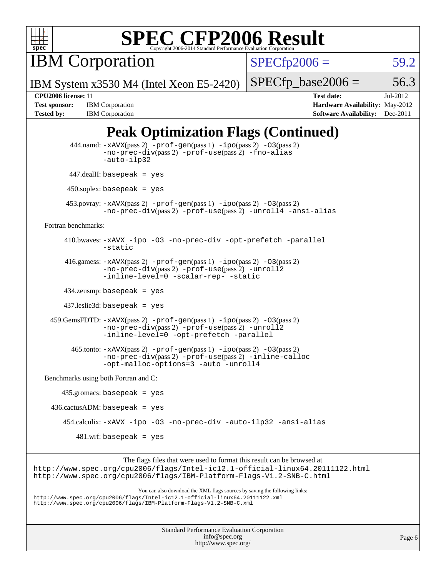

IBM Corporation

 $SPECfp2006 = 59.2$  $SPECfp2006 = 59.2$ 

IBM System x3530 M4 (Intel Xeon E5-2420)

 $SPECTp\_base2006 = 56.3$ 

**[Tested by:](http://www.spec.org/auto/cpu2006/Docs/result-fields.html#Testedby)** IBM Corporation **[Software Availability:](http://www.spec.org/auto/cpu2006/Docs/result-fields.html#SoftwareAvailability)** Dec-2011

**[CPU2006 license:](http://www.spec.org/auto/cpu2006/Docs/result-fields.html#CPU2006license)** 11 **[Test date:](http://www.spec.org/auto/cpu2006/Docs/result-fields.html#Testdate)** Jul-2012 **[Test sponsor:](http://www.spec.org/auto/cpu2006/Docs/result-fields.html#Testsponsor)** IBM Corporation **[Hardware Availability:](http://www.spec.org/auto/cpu2006/Docs/result-fields.html#HardwareAvailability)** May-2012

### **[Peak Optimization Flags \(Continued\)](http://www.spec.org/auto/cpu2006/Docs/result-fields.html#PeakOptimizationFlags)**

```
 444.namd: -xAVX(pass 2) -prof-gen(pass 1) -ipo(pass 2) -O3(pass 2)
                   -no-prec-div(pass 2) -prof-use(pass 2) -fno-alias
                   -auto-ilp32
          447.dealII: basepeak = yes
          450.soplex: basepeak = yes
          453.povray: -xAVX(pass 2) -prof-gen(pass 1) -ipo(pass 2) -O3(pass 2)
                   -no-prec-div(pass 2) -prof-use(pass 2) -unroll4 -ansi-alias
   Fortran benchmarks: 
         410.bwaves: -xAVX -ipo -O3 -no-prec-div -opt-prefetch -parallel
                   -static
         416.gamess: -xAVX(pass 2) -prof-gen(pass 1) -ipo(pass 2) -O3(pass 2)
                   -no-prec-div(pass 2) -prof-use(pass 2) -unroll2
                   -inline-level=0-scalar-rep--static
         434.zeusmp: basepeak = yes
         437.leslie3d: basepeak = yes
     459.GemsFDTD: -xAVX(pass 2) -prof-gen(pass 1) -ipo(pass 2) -O3(pass 2)
                   -no-prec-div(pass 2) -prof-use(pass 2) -unroll2
                   -inline-level=0 -opt-prefetch -parallel
           465.tonto: -xAVX(pass 2) -prof-gen(pass 1) -ipo(pass 2) -O3(pass 2)
                   -no-prec-div(pass 2) -prof-use(pass 2) -inline-calloc
                   -opt-malloc-options=3-auto-unroll4
   Benchmarks using both Fortran and C: 
        435.gromacs: basepeak = yes
    436.cactusADM: basepeak = yes
         454.calculix: -xAVX -ipo -O3 -no-prec-div -auto-ilp32 -ansi-alias
            481.wrf: basepeak = yes
                         The flags files that were used to format this result can be browsed at
http://www.spec.org/cpu2006/flags/Intel-ic12.1-official-linux64.20111122.html
http://www.spec.org/cpu2006/flags/IBM-Platform-Flags-V1.2-SNB-C.html
                            You can also download the XML flags sources by saving the following links:
http://www.spec.org/cpu2006/flags/Intel-ic12.1-official-linux64.20111122.xml
http://www.spec.org/cpu2006/flags/IBM-Platform-Flags-V1.2-SNB-C.xml
```